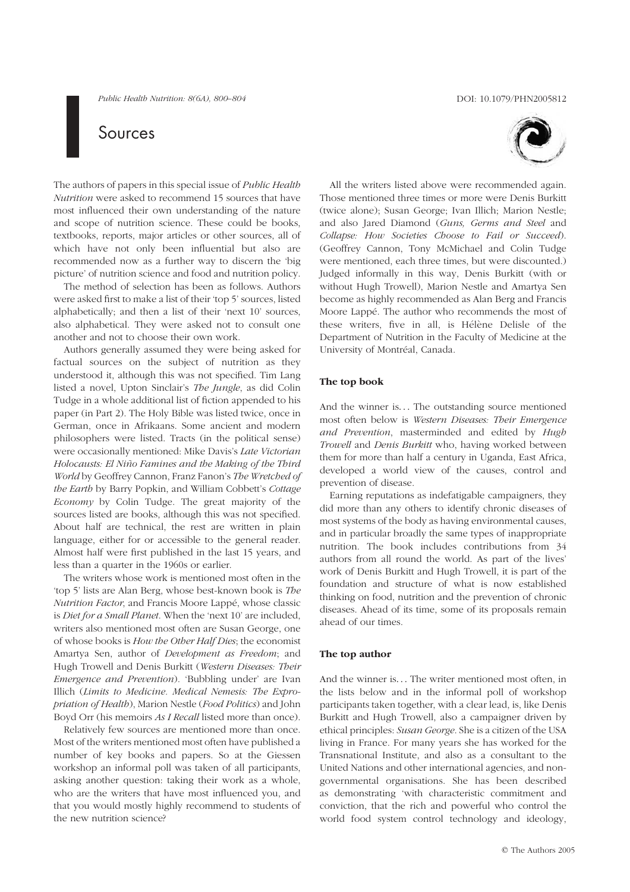Public Health Nutrition: 8(6A), 800–804 DOI: 10.1079/PHN2005812

# Sources

The authors of papers in this special issue of Public Health Nutrition were asked to recommend 15 sources that have most influenced their own understanding of the nature and scope of nutrition science. These could be books, textbooks, reports, major articles or other sources, all of which have not only been influential but also are recommended now as a further way to discern the 'big picture' of nutrition science and food and nutrition policy.

The method of selection has been as follows. Authors were asked first to make a list of their 'top 5' sources, listed alphabetically; and then a list of their 'next 10' sources, also alphabetical. They were asked not to consult one another and not to choose their own work.

Authors generally assumed they were being asked for factual sources on the subject of nutrition as they understood it, although this was not specified. Tim Lang listed a novel, Upton Sinclair's The Jungle, as did Colin Tudge in a whole additional list of fiction appended to his paper (in Part 2). The Holy Bible was listed twice, once in German, once in Afrikaans. Some ancient and modern philosophers were listed. Tracts (in the political sense) were occasionally mentioned: Mike Davis's Late Victorian Holocausts: El Niño Famines and the Making of the Third World by Geoffrey Cannon, Franz Fanon's The Wretched of the Earth by Barry Popkin, and William Cobbett's Cottage  $E_{\text{conom}}$  by Colin Tudge. The great majority of the sources listed are books, although this was not specified. About half are technical, the rest are written in plain language, either for or accessible to the general reader. Almost half were first published in the last 15 years, and less than a quarter in the 1960s or earlier.

The writers whose work is mentioned most often in the 'top 5' lists are Alan Berg, whose best-known book is The Nutrition Factor, and Francis Moore Lappé, whose classic is Diet for a Small Planet. When the 'next 10' are included, writers also mentioned most often are Susan George, one of whose books is How the Other Half Dies; the economist Amartya Sen, author of Development as Freedom; and Hugh Trowell and Denis Burkitt (Western Diseases: Their Emergence and Prevention). 'Bubbling under' are Ivan Illich (Limits to Medicine. Medical Nemesis: The Expropriation of Health), Marion Nestle (Food Politics) and John Boyd Orr (his memoirs As I Recall listed more than once).

Relatively few sources are mentioned more than once. Most of the writers mentioned most often have published a number of key books and papers. So at the Giessen workshop an informal poll was taken of all participants, asking another question: taking their work as a whole, who are the writers that have most influenced you, and that you would mostly highly recommend to students of the new nutrition science?



All the writers listed above were recommended again. Those mentioned three times or more were Denis Burkitt (twice alone); Susan George; Ivan Illich; Marion Nestle; and also Jared Diamond (Guns, Germs and Steel and Collapse: How Societies Choose to Fail or Succeed). (Geoffrey Cannon, Tony McMichael and Colin Tudge were mentioned, each three times, but were discounted.) Judged informally in this way, Denis Burkitt (with or without Hugh Trowell), Marion Nestle and Amartya Sen become as highly recommended as Alan Berg and Francis Moore Lappé. The author who recommends the most of these writers, five in all, is Hélène Delisle of the Department of Nutrition in the Faculty of Medicine at the University of Montréal, Canada.

# The top book

And the winner is... The outstanding source mentioned most often below is Western Diseases: Their Emergence and Prevention, masterminded and edited by Hugh Trowell and Denis Burkitt who, having worked between them for more than half a century in Uganda, East Africa, developed a world view of the causes, control and prevention of disease.

Earning reputations as indefatigable campaigners, they did more than any others to identify chronic diseases of most systems of the body as having environmental causes, and in particular broadly the same types of inappropriate nutrition. The book includes contributions from 34 authors from all round the world. As part of the lives' work of Denis Burkitt and Hugh Trowell, it is part of the foundation and structure of what is now established thinking on food, nutrition and the prevention of chronic diseases. Ahead of its time, some of its proposals remain ahead of our times.

# The top author

And the winner is... The writer mentioned most often, in the lists below and in the informal poll of workshop participants taken together, with a clear lead, is, like Denis Burkitt and Hugh Trowell, also a campaigner driven by ethical principles: Susan George. She is a citizen of the USA living in France. For many years she has worked for the Transnational Institute, and also as a consultant to the United Nations and other international agencies, and nongovernmental organisations. She has been described as demonstrating 'with characteristic commitment and conviction, that the rich and powerful who control the world food system control technology and ideology,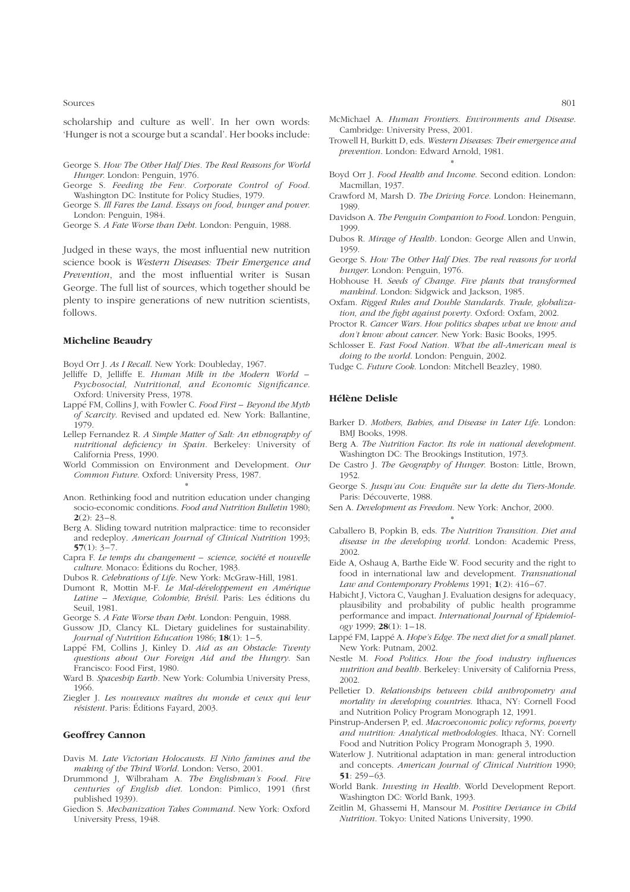Sources and the state of the state of the state of the state of the state of the state of the state of the state of the state of the state of the state of the state of the state of the state of the state of the state of th

scholarship and culture as well'. In her own words: 'Hunger is not a scourge but a scandal'. Her books include:

- George S. How The Other Half Dies. The Real Reasons for World Hunger. London: Penguin, 1976.
- George S. Feeding the Few. Corporate Control of Food. Washington DC: Institute for Policy Studies, 1979.
- George S. Ill Fares the Land. Essays on food, hunger and power. London: Penguin, 1984.

George S. A Fate Worse than Debt. London: Penguin, 1988.

Judged in these ways, the most influential new nutrition science book is Western Diseases: Their Emergence and Prevention, and the most influential writer is Susan George. The full list of sources, which together should be plenty to inspire generations of new nutrition scientists, follows.

#### Micheline Beaudry

Boyd Orr J. As I Recall. New York: Doubleday, 1967.

- Jelliffe D, Jelliffe E. Human Milk in the Modern World Psychosocial, Nutritional, and Economic Significance. Oxford: University Press, 1978.
- Lappé FM, Collins J, with Fowler C. Food First Beyond the Myth of Scarcity. Revised and updated ed. New York: Ballantine, 1979.
- Lellep Fernandez R. A Simple Matter of Salt: An ethnography of nutritional deficiency in Spain. Berkeley: University of California Press, 1990.
- World Commission on Environment and Development. Our Common Future. Oxford: University Press, 1987. \*
- Anon. Rethinking food and nutrition education under changing socio-economic conditions. Food and Nutrition Bulletin 1980;  $2(2): 23-8.$
- Berg A. Sliding toward nutrition malpractice: time to reconsider and redeploy. American Journal of Clinical Nutrition 1993;  $57(1): 3-7.$
- Capra F. Le temps du changement science, société et nouvelle culture. Monaco: Éditions du Rocher, 1983.
- Dubos R. Celebrations of Life. New York: McGraw-Hill, 1981.
- Dumont R, Mottin M-F. Le Mal-développement en Amérique Latine – Mexique, Colombie, Brésil. Paris: Les éditions du Seuil, 1981.
- George S. A Fate Worse than Debt. London: Penguin, 1988.
- Gussow JD, Clancy KL. Dietary guidelines for sustainability. Journal of Nutrition Education 1986; 18(1): 1-5.
- Lappé FM, Collins J, Kinley D. Aid as an Obstacle: Twenty questions about Our Foreign Aid and the Hungry. San Francisco: Food First, 1980.
- Ward B. Spaceship Earth. New York: Columbia University Press, 1966.
- Ziegler J. Les nouveaux maîtres du monde et ceux qui leur résistent. Paris: Éditions Fayard, 2003.

## Geoffrey Cannon

- Davis M. Late Victorian Holocausts. El Niño famines and the making of the Third World. London: Verso, 2001.
- Drummond J, Wilbraham A. The Englishman's Food. Five centuries of English diet. London: Pimlico, 1991 (first published 1939).
- Giedion S. Mechanization Takes Command. New York: Oxford University Press, 1948.
- McMichael A. Human Frontiers. Environments and Disease. Cambridge: University Press, 2001.
- Trowell H, Burkitt D, eds. Western Diseases: Their emergence and prevention. London: Edward Arnold, 1981.
- \* Boyd Orr J. Food Health and Income. Second edition. London: Macmillan, 1937.
- Crawford M, Marsh D. The Driving Force. London: Heinemann, 1989.
- Davidson A. The Penguin Companion to Food. London: Penguin, 1999.
- Dubos R. Mirage of Health. London: George Allen and Unwin, 1959.
- George S. How The Other Half Dies. The real reasons for world hunger. London: Penguin, 1976.
- Hobhouse H. Seeds of Change. Five plants that transformed mankind. London: Sidgwick and Jackson, 1985.
- Oxfam. Rigged Rules and Double Standards. Trade, globalization, and the fight against poverty. Oxford: Oxfam, 2002.
- Proctor R. Cancer Wars. How politics shapes what we know and don't know about cancer. New York: Basic Books, 1995.
- Schlosser E. Fast Food Nation. What the all-American meal is doing to the world. London: Penguin, 2002.
- Tudge C. Future Cook. London: Mitchell Beazley, 1980.

# Hélène Delisle

- Barker D. Mothers, Babies, and Disease in Later Life. London: BMJ Books, 1998.
- Berg A. The Nutrition Factor. Its role in national development. Washington DC: The Brookings Institution, 1973.
- De Castro J. The Geography of Hunger. Boston: Little, Brown, 1952.
- George S. Jusqu'au Cou: Enquête sur la dette du Tiers-Monde. Paris: Découverte, 1988.
- Sen A. Development as Freedom. New York: Anchor, 2000.
- \* Caballero B, Popkin B, eds. The Nutrition Transition. Diet and disease in the developing world. London: Academic Press, 2002.
- Eide A, Oshaug A, Barthe Eide W. Food security and the right to food in international law and development. Transnational Law and Contemporary Problems 1991; 1(2): 416-67.
- Habicht J, Victora C, Vaughan J. Evaluation designs for adequacy, plausibility and probability of public health programme performance and impact. International Journal of Epidemiology 1999; **28**(1):  $1-18$ .
- Lappé FM, Lappé A. Hope's Edge. The next diet for a small planet. New York: Putnam, 2002.
- Nestle M. Food Politics. How the food industry influences nutrition and health. Berkeley: University of California Press, 2002.
- Pelletier D. Relationships between child anthropometry and mortality in developing countries. Ithaca, NY: Cornell Food and Nutrition Policy Program Monograph 12, 1991.
- Pinstrup-Andersen P, ed. Macroeconomic policy reforms, poverty and nutrition: Analytical methodologies. Ithaca, NY: Cornell Food and Nutrition Policy Program Monograph 3, 1990.
- Waterlow J. Nutritional adaptation in man: general introduction and concepts. American Journal of Clinical Nutrition 1990;  $51 \cdot 259 - 63$
- World Bank. Investing in Health. World Development Report. Washington DC: World Bank, 1993.
- Zeitlin M, Ghassemi H, Mansour M. Positive Deviance in Child Nutrition. Tokyo: United Nations University, 1990.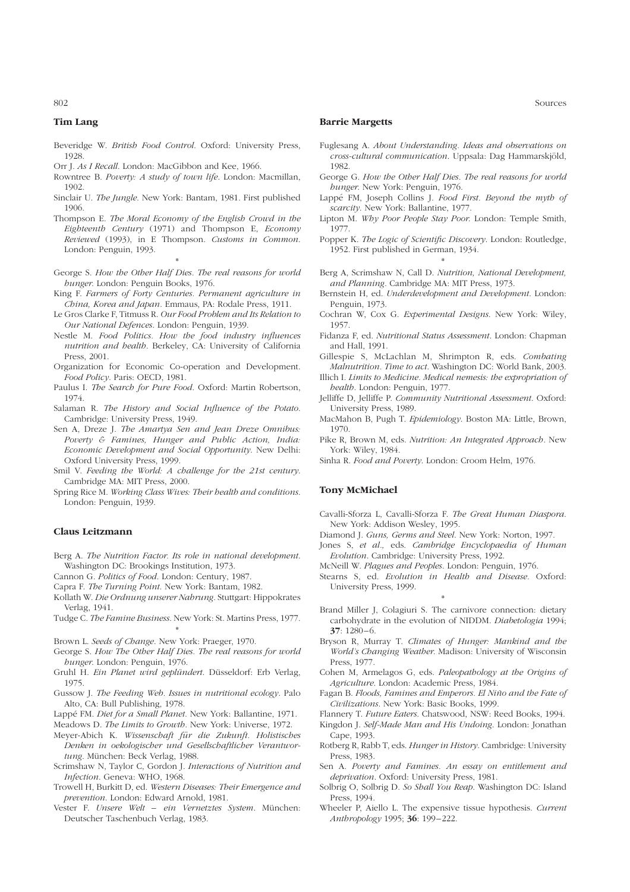## Tim Lang

- Beveridge W. British Food Control. Oxford: University Press, 1928.
- Orr J. As I Recall. London: MacGibbon and Kee, 1966.
- Rowntree B. Poverty: A study of town life. London: Macmillan, 1902.
- Sinclair U. The Jungle. New York: Bantam, 1981. First published 1906.
- Thompson E. The Moral Economy of the English Crowd in the Eighteenth Century (1971) and Thompson E, Economy Reviewed (1993), in E Thompson. Customs in Common. London: Penguin, 1993.
- \* George S. How the Other Half Dies. The real reasons for world hunger. London: Penguin Books, 1976.
- King F. Farmers of Forty Centuries. Permanent agriculture in China, Korea and Japan. Emmaus, PA: Rodale Press, 1911.
- Le Gros Clarke F, Titmuss R. Our Food Problem and Its Relation to Our National Defences. London: Penguin, 1939.
- Nestle M. Food Politics. How the food industry influences nutrition and health. Berkeley, CA: University of California Press, 2001.
- Organization for Economic Co-operation and Development. Food Policy. Paris: OECD, 1981.
- Paulus I. The Search for Pure Food. Oxford: Martin Robertson, 1974.
- Salaman R. The History and Social Influence of the Potato. Cambridge: University Press, 1949.
- Sen A, Dreze J. The Amartya Sen and Jean Dreze Omnibus: Poverty & Famines, Hunger and Public Action, India: Economic Development and Social Opportunity. New Delhi: Oxford University Press, 1999.
- Smil V. Feeding the World: A challenge for the 21st century. Cambridge MA: MIT Press, 2000.
- Spring Rice M. Working Class Wives: Their health and conditions. London: Penguin, 1939.

#### Claus Leitzmann

- Berg A. The Nutrition Factor. Its role in national development. Washington DC: Brookings Institution, 1973.
- Cannon G. Politics of Food. London: Century, 1987.

Capra F. The Turning Point. New York: Bantam, 1982.

- Kollath W. Die Ordnung unserer Nahrung. Stuttgart: Hippokrates Verlag, 1941.
- Tudge C. The Famine Business. New York: St. Martins Press, 1977. \*
- Brown L. Seeds of Change. New York: Praeger, 1970.
- George S. How The Other Half Dies. The real reasons for world hunger. London: Penguin, 1976.
- Gruhl H. Ein Planet wird geplündert. Düsseldorf: Erb Verlag, 1975.
- Gussow J. The Feeding Web. Issues in nutritional ecology. Palo Alto, CA: Bull Publishing, 1978.
- Lappé FM. Diet for a Small Planet. New York: Ballantine, 1971.
- Meadows D. The Limits to Growth. New York: Universe, 1972.
- Meyer-Abich K. Wissenschaft für die Zukunft. Holistisches Denken in oekologischer und Gesellschaftlicher Verantwortung. München: Beck Verlag, 1988.
- Scrimshaw N, Taylor C, Gordon J. Interactions of Nutrition and Infection. Geneva: WHO, 1968.
- Trowell H, Burkitt D, ed. Western Diseases: Their Emergence and prevention. London: Edward Arnold, 1981.
- Vester F. Unsere Welt ein Vernetztes System. München: Deutscher Taschenbuch Verlag, 1983.

#### Barrie Margetts

- Fuglesang A. About Understanding. Ideas and observations on cross-cultural communication. Uppsala: Dag Hammarskjöld, 1982.
- George G. How the Other Half Dies. The real reasons for world hunger. New York: Penguin, 1976.
- Lappé FM, Joseph Collins J. Food First. Beyond the myth of scarcity. New York: Ballantine, 1977.
- Lipton M. Why Poor People Stay Poor. London: Temple Smith, 1977.
- Popper K. The Logic of Scientific Discovery. London: Routledge, 1952. First published in German, 1934.
- \* Berg A, Scrimshaw N, Call D. Nutrition, National Development, and Planning. Cambridge MA: MIT Press, 1973.
- Bernstein H, ed. Underdevelopment and Development. London: Penguin, 1973.
- Cochran W, Cox G. Experimental Designs. New York: Wiley, 1957.
- Fidanza F, ed. Nutritional Status Assessment. London: Chapman and Hall, 1991.
- Gillespie S, McLachlan M, Shrimpton R, eds. Combating Malnutrition. Time to act. Washington DC: World Bank, 2003.
- Illich I. Limits to Medicine. Medical nemesis: the expropriation of health. London: Penguin, 1977.
- Jelliffe D, Jelliffe P. Community Nutritional Assessment. Oxford: University Press, 1989.
- MacMahon B, Pugh T. Epidemiology. Boston MA: Little, Brown, 1970.
- Pike R, Brown M, eds. Nutrition: An Integrated Approach. New York: Wiley, 1984.
- Sinha R. Food and Poverty. London: Croom Helm, 1976.

## Tony McMichael

- Cavalli-Sforza L, Cavalli-Sforza F. The Great Human Diaspora. New York: Addison Wesley, 1995.
- Diamond J. Guns, Germs and Steel. New York: Norton, 1997.
- Jones S, et al., eds. Cambridge Encyclopaedia of Human Evolution. Cambridge: University Press, 1992.
- McNeill W. Plagues and Peoples. London: Penguin, 1976.
- Stearns S, ed. Evolution in Health and Disease. Oxford: University Press, 1999. \*
- Brand Miller J, Colagiuri S. The carnivore connection: dietary carbohydrate in the evolution of NIDDM. Diabetologia 1994;  $37:1280 - 6.$
- Bryson R, Murray T. Climates of Hunger: Mankind and the World's Changing Weather. Madison: University of Wisconsin Press, 1977.
- Cohen M, Armelagos G, eds. Paleopathology at the Origins of Agriculture. London: Academic Press, 1984.
- Fagan B. Floods, Famines and Emperors. El Niño and the Fate of Civilizations. New York: Basic Books, 1999.
- Flannery T. Future Eaters. Chatswood, NSW: Reed Books, 1994.
- Kingdon J. Self-Made Man and His Undoing. London: Jonathan Cape, 1993.
- Rotberg R, Rabb T, eds. Hunger in History. Cambridge: University Press, 1983.
- Sen A. Poverty and Famines. An essay on entitlement and deprivation. Oxford: University Press, 1981.
- Solbrig O, Solbrig D. So Shall You Reap. Washington DC: Island Press, 1994.
- Wheeler P, Aiello L. The expensive tissue hypothesis. Current Anthropology 1995; 36: 199-222.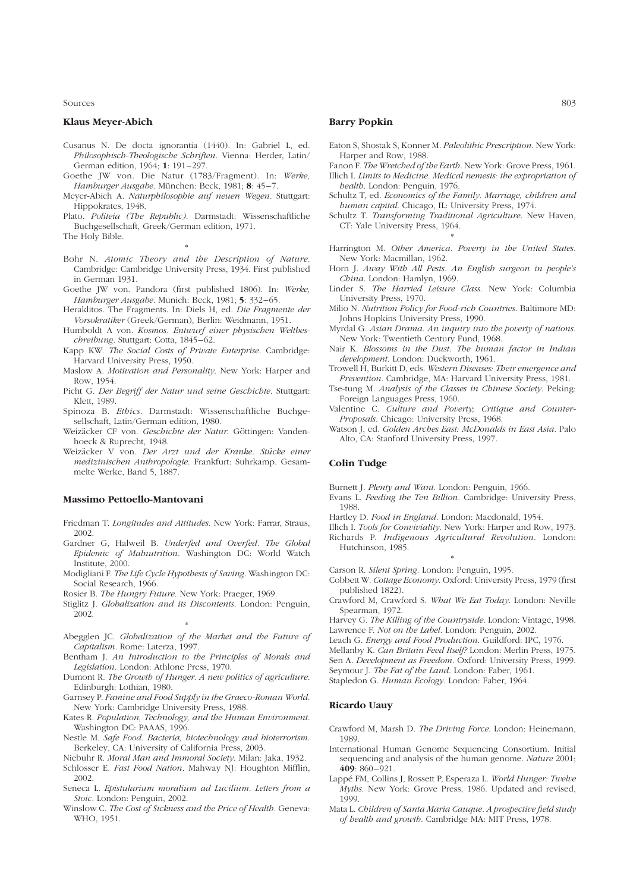Sources and the state of the state of the state of the state of the state of the state of the state of the state of the state of the state of the state of the state of the state of the state of the state of the state of th

#### Klaus Meyer-Abich

- Cusanus N. De docta ignorantia (1440). In: Gabriel L, ed. Philosophisch-Theologische Schriften. Vienna: Herder, Latin/ German edition, 1964; 1: 191-297.
- Goethe JW von. Die Natur (1783/Fragment). In: Werke, Hamburger Ausgabe. München: Beck, 1981; 8: 45-7.
- Meyer-Abich A. Naturphilosophie auf neuen Wegen. Stuttgart: Hippokrates, 1948.
- Plato. Politeia (The Republic). Darmstadt: Wissenschaftliche Buchgesellschaft, Greek/German edition, 1971.

The Holy Bible.

- \* Bohr N. Atomic Theory and the Description of Nature. Cambridge: Cambridge University Press, 1934. First published in German 1931.
- Goethe JW von. Pandora (first published 1806). In: Werke, Hamburger Ausgabe. Munich: Beck, 1981; 5: 332-65.
- Heraklitos. The Fragments. In: Diels H, ed. Die Fragmente der Vorsokratiker (Greek/German), Berlin: Weidmann, 1951.
- Humboldt A von. Kosmos. Entwurf einer physischen Weltbeschreibung. Stuttgart: Cotta, 1845-62.
- Kapp KW. The Social Costs of Private Enterprise. Cambridge: Harvard University Press, 1950.
- Maslow A. Motivation and Personality. New York: Harper and Row, 1954.
- Picht G. Der Begriff der Natur und seine Geschichte. Stuttgart: Klett, 1989.
- Spinoza B. Ethics. Darmstadt: Wissenschaftliche Buchgesellschaft, Latin/German edition, 1980.
- Weizäcker CF von. Geschichte der Natur. Göttingen: Vandenhoeck & Ruprecht, 1948.
- Weizäcker V von. Der Arzt und der Kranke. Stücke einer medizinischen Anthropologie. Frankfurt: Suhrkamp. Gesammelte Werke, Band 5, 1887.

#### Massimo Pettoello-Mantovani

- Friedman T. Longitudes and Attitudes. New York: Farrar, Straus, 2002.
- Gardner G, Halweil B. Underfed and Overfed. The Global Epidemic of Malnutrition. Washington DC: World Watch Institute, 2000.
- Modigliani F. The Life Cycle Hypothesis of Saving. Washington DC: Social Research, 1966.
- Rosier B. The Hungry Future. New York: Praeger, 1969.
- Stiglitz J. Globalization and its Discontents. London: Penguin, 2002.
- \* Abegglen JC. Globalization of the Market and the Future of Capitalism. Rome: Laterza, 1997.
- Bentham J. An Introduction to the Principles of Morals and Legislation. London: Athlone Press, 1970.
- Dumont R. The Growth of Hunger. A new politics of agriculture. Edinburgh: Lothian, 1980.
- Garnsey P. Famine and Food Supply in the Graeco-Roman World. New York: Cambridge University Press, 1988.
- Kates R. Population, Technology, and the Human Environment. Washington DC: PAAAS, 1996.
- Nestle M. Safe Food. Bacteria, biotechnology and bioterrorism. Berkeley, CA: University of California Press, 2003.
- Niebuhr R. Moral Man and Immoral Society. Milan: Jaka, 1932.
- Schlosser E. Fast Food Nation. Mahway NJ: Houghton Mifflin, 2002.
- Seneca L. Epistularium moralium ad Lucilium. Letters from a Stoic. London: Penguin, 2002.
- Winslow C. The Cost of Sickness and the Price of Health. Geneva: WHO, 1951.

#### Barry Popkin

- Eaton S, Shostak S, Konner M. Paleolithic Prescription. New York: Harper and Row, 1988.
- Fanon F. The Wretched of the Earth. New York: Grove Press, 1961. Illich I. Limits to Medicine. Medical nemesis: the expropriation of
- health. London: Penguin, 1976. Schultz T, ed. Economics of the Family. Marriage, children and
- human capital. Chicago, IL: University Press, 1974.
- Schultz T. Transforming Traditional Agriculture. New Haven, CT: Yale University Press, 1964. \*
- Harrington M. Other America. Poverty in the United States. New York: Macmillan, 1962.
- Horn J. Away With All Pests. An English surgeon in people's China. London: Hamlyn, 1969.
- Linder S. The Harried Leisure Class. New York: Columbia University Press, 1970.
- Milio N. Nutrition Policy for Food-rich Countries. Baltimore MD: Johns Hopkins University Press, 1990.
- Myrdal G. Asian Drama. An inquiry into the poverty of nations. New York: Twentieth Century Fund, 1968.
- Nair K. Blossoms in the Dust. The human factor in Indian development. London: Duckworth, 1961.
- Trowell H, Burkitt D, eds. Western Diseases: Their emergence and Prevention. Cambridge, MA: Harvard University Press, 1981.
- Tse-tung M. Analysis of the Classes in Chinese Society. Peking: Foreign Languages Press, 1960.
- Valentine C. Culture and Poverty; Critique and Counter-Proposals. Chicago: University Press, 1968.
- Watson J, ed. Golden Arches East: McDonalds in East Asia. Palo Alto, CA: Stanford University Press, 1997.

#### Colin Tudge

Burnett J. Plenty and Want. London: Penguin, 1966.

- Evans L. Feeding the Ten Billion. Cambridge: University Press, 1988.
- Hartley D. Food in England. London: Macdonald, 1954.
- Illich I. Tools for Conviviality. New York: Harper and Row, 1973.
- Richards P. Indigenous Agricultural Revolution. London: Hutchinson, 1985.

\* Carson R. Silent Spring. London: Penguin, 1995.

- Cobbett W. Cottage Economy. Oxford: University Press, 1979 (first published 1822).
- Crawford M, Crawford S. What We Eat Today. London: Neville Spearman, 1972.

Harvey G. The Killing of the Countryside. London: Vintage, 1998. Lawrence F. Not on the Label. London: Penguin, 2002.

Leach G. Energy and Food Production. Guildford: IPC, 1976.

Mellanby K. Can Britain Feed Itself? London: Merlin Press, 1975.

Sen A. Development as Freedom. Oxford: University Press, 1999.

Seymour J. The Fat of the Land. London: Faber, 1961.

Stapledon G. Human Ecology. London: Faber, 1964.

## Ricardo Uauy

Crawford M, Marsh D. The Driving Force. London: Heinemann, 1989.

- International Human Genome Sequencing Consortium. Initial sequencing and analysis of the human genome. Nature 2001; 409: 860 –921.
- Lappé FM, Collins J, Rossett P, Esperaza L. World Hunger: Twelve Myths. New York: Grove Press, 1986. Updated and revised, 1999.
- Mata L. Children of Santa Maria Cauque. A prospective field study of health and growth. Cambridge MA: MIT Press, 1978.